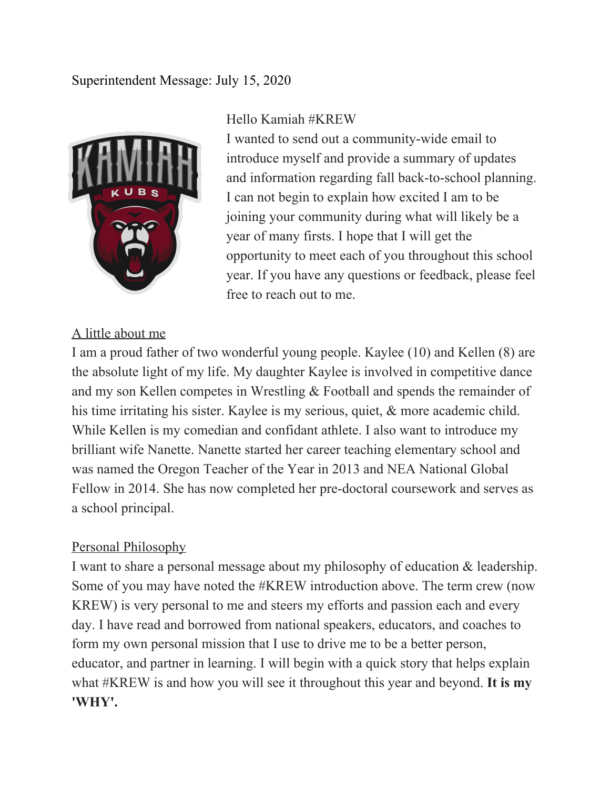## Superintendent Message: July 15, 2020



### Hello Kamiah #KREW

I wanted to send out a community-wide email to introduce myself and provide a summary of updates and information regarding fall back-to-school planning. I can not begin to explain how excited I am to be joining your community during what will likely be a year of many firsts. I hope that I will get the opportunity to meet each of you throughout this school year. If you have any questions or feedback, please feel free to reach out to me.

## A little about me

I am a proud father of two wonderful young people. Kaylee (10) and Kellen (8) are the absolute light of my life. My daughter Kaylee is involved in competitive dance and my son Kellen competes in Wrestling & Football and spends the remainder of his time irritating his sister. Kaylee is my serious, quiet, & more academic child. While Kellen is my comedian and confidant athlete. I also want to introduce my brilliant wife Nanette. Nanette started her career teaching elementary school and was named the Oregon Teacher of the Year in 2013 and NEA National Global Fellow in 2014. She has now completed her pre-doctoral coursework and serves as a school principal.

## Personal Philosophy

I want to share a personal message about my philosophy of education & leadership. Some of you may have noted the #KREW introduction above. The term crew (now KREW) is very personal to me and steers my efforts and passion each and every day. I have read and borrowed from national speakers, educators, and coaches to form my own personal mission that I use to drive me to be a better person, educator, and partner in learning. I will begin with a quick story that helps explain what #KREW is and how you will see it throughout this year and beyond. **It is my 'WHY'.**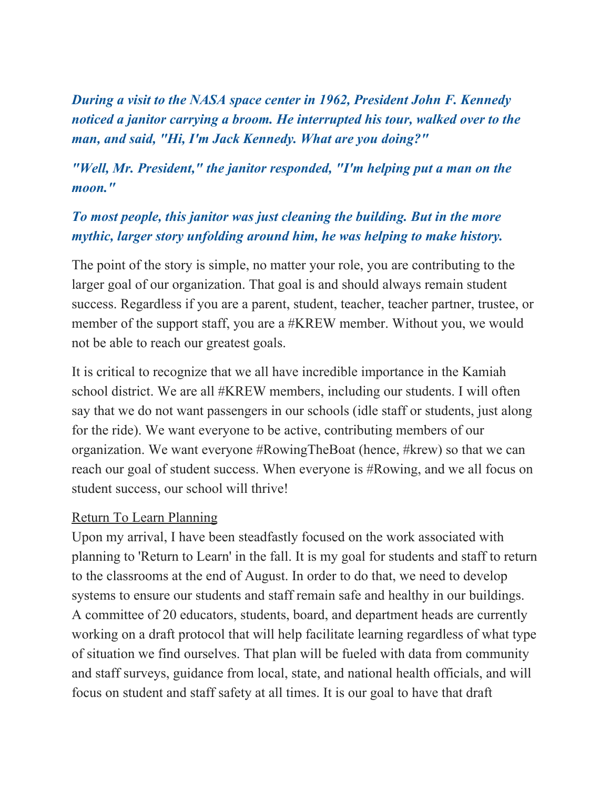*During a visit to the NASA space center in 1962, President John F. Kennedy noticed a janitor carrying a broom. He interrupted his tour, walked over to the man, and said, "Hi, I'm Jack Kennedy. What are you doing?"*

# *"Well, Mr. President," the janitor responded, "I'm helping put a man on the moon."*

# *To most people, this janitor was just cleaning the building. But in the more mythic, larger story unfolding around him, he was helping to make history.*

The point of the story is simple, no matter your role, you are contributing to the larger goal of our organization. That goal is and should always remain student success. Regardless if you are a parent, student, teacher, teacher partner, trustee, or member of the support staff, you are a #KREW member. Without you, we would not be able to reach our greatest goals.

It is critical to recognize that we all have incredible importance in the Kamiah school district. We are all #KREW members, including our students. I will often say that we do not want passengers in our schools (idle staff or students, just along for the ride). We want everyone to be active, contributing members of our organization. We want everyone #RowingTheBoat (hence, #krew) so that we can reach our goal of student success. When everyone is #Rowing, and we all focus on student success, our school will thrive!

#### Return To Learn Planning

Upon my arrival, I have been steadfastly focused on the work associated with planning to 'Return to Learn' in the fall. It is my goal for students and staff to return to the classrooms at the end of August. In order to do that, we need to develop systems to ensure our students and staff remain safe and healthy in our buildings. A committee of 20 educators, students, board, and department heads are currently working on a draft protocol that will help facilitate learning regardless of what type of situation we find ourselves. That plan will be fueled with data from community and staff surveys, guidance from local, state, and national health officials, and will focus on student and staff safety at all times. It is our goal to have that draft